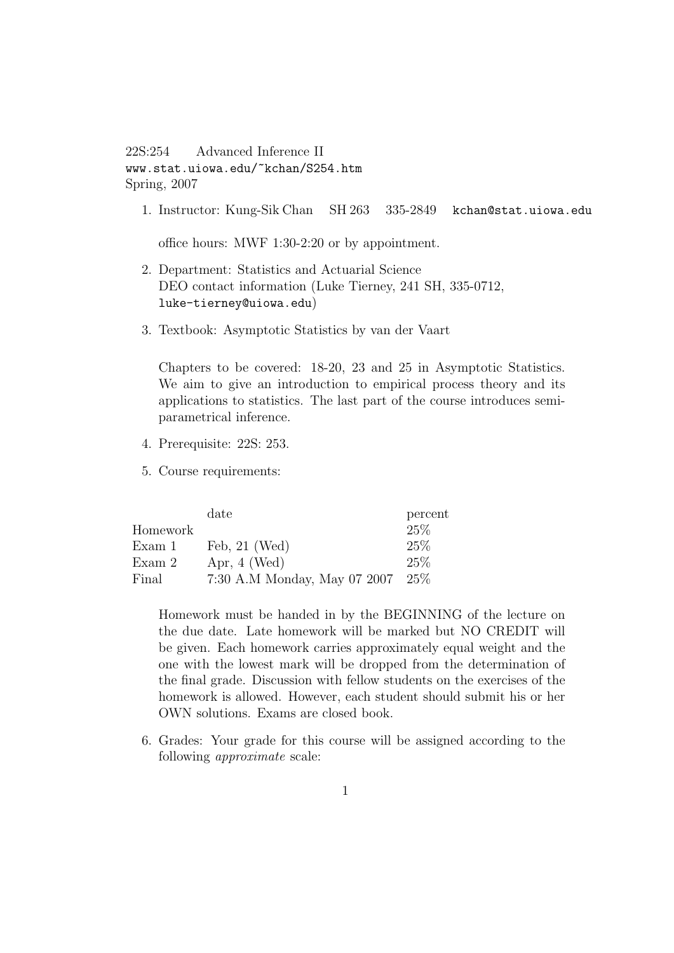## 22S:254 Advanced Inference II www.stat.uiowa.edu/~kchan/S254.htm Spring, 2007

1. Instructor: Kung-Sik Chan SH 263 335-2849 kchan@stat.uiowa.edu

office hours: MWF 1:30-2:20 or by appointment.

- 2. Department: Statistics and Actuarial Science DEO contact information (Luke Tierney, 241 SH, 335-0712, luke-tierney@uiowa.edu)
- 3. Textbook: Asymptotic Statistics by van der Vaart

Chapters to be covered: 18-20, 23 and 25 in Asymptotic Statistics. We aim to give an introduction to empirical process theory and its applications to statistics. The last part of the course introduces semiparametrical inference.

- 4. Prerequisite: 22S: 253.
- 5. Course requirements:

|          | date                         | percent |
|----------|------------------------------|---------|
| Homework |                              | 25\%    |
| Exam 1   | Feb, $21$ (Wed)              | 25%     |
| Exam 2   | Apr, $4$ (Wed)               | 25\%    |
| Final    | 7:30 A.M Monday, May 07 2007 | 25\%    |

Homework must be handed in by the BEGINNING of the lecture on the due date. Late homework will be marked but NO CREDIT will be given. Each homework carries approximately equal weight and the one with the lowest mark will be dropped from the determination of the final grade. Discussion with fellow students on the exercises of the homework is allowed. However, each student should submit his or her OWN solutions. Exams are closed book.

6. Grades: Your grade for this course will be assigned according to the following approximate scale: